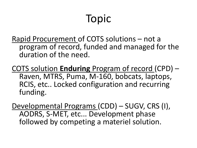# Topic

Rapid Procurement of COTS solutions – not a program of record, funded and managed for the duration of the need.

COTS solution **Enduring** Program of record (CPD) – Raven, MTRS, Puma, M-160, bobcats, laptops, RCIS, etc.. Locked configuration and recurring funding.

Developmental Programs (CDD) – SUGV, CRS (I), AODRS, S-MET, etc... Development phase followed by competing a materiel solution.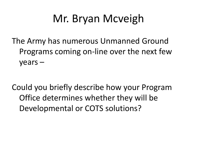## Mr. Bryan Mcveigh

The Army has numerous Unmanned Ground Programs coming on-line over the next few years –

Could you briefly describe how your Program Office determines whether they will be Developmental or COTS solutions?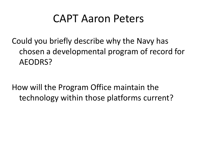### CAPT Aaron Peters

Could you briefly describe why the Navy has chosen a developmental program of record for AEODRS?

How will the Program Office maintain the technology within those platforms current?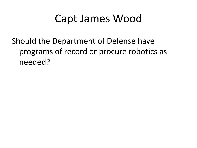### Capt James Wood

#### Should the Department of Defense have programs of record or procure robotics as needed?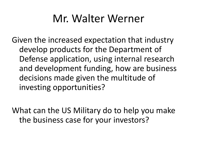### Mr. Walter Werner

Given the increased expectation that industry develop products for the Department of Defense application, using internal research and development funding, how are business decisions made given the multitude of investing opportunities?

What can the US Military do to help you make the business case for your investors?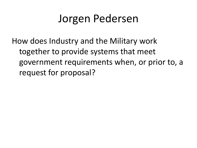### Jorgen Pedersen

How does Industry and the Military work together to provide systems that meet government requirements when, or prior to, a request for proposal?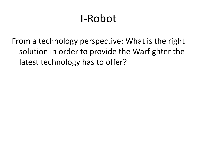## I-Robot

From a technology perspective: What is the right solution in order to provide the Warfighter the latest technology has to offer?